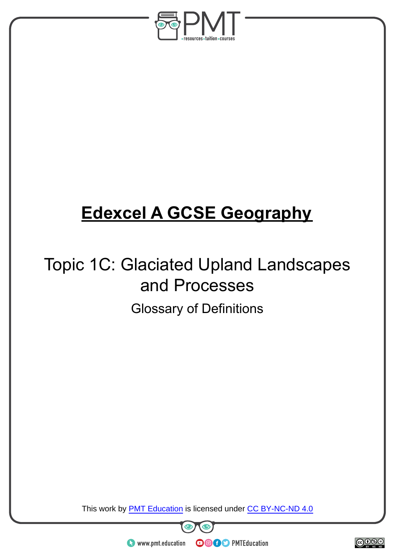

## **Edexcel A GCSE Geography**

## Topic 1C: Glaciated Upland Landscapes and Processes Glossary of Definitions

This work by **PMT Education** is licensed under CC BY-NC-ND 4.0





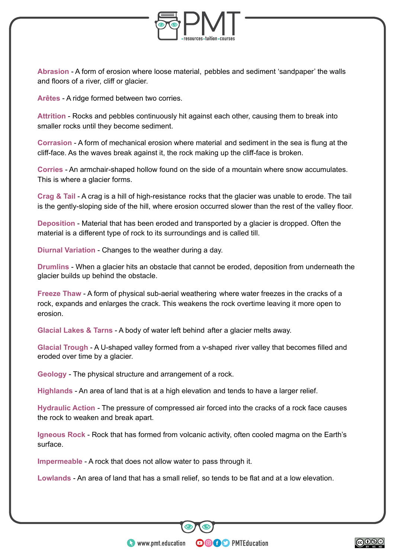

**Abrasion** - A form of erosion where loose material, pebbles and sediment 'sandpaper' the walls and floors of a river, cliff or glacier.

**Arêtes** - A ridge formed between two corries.

**Attrition** - Rocks and pebbles continuously hit against each other, causing them to break into smaller rocks until they become sediment.

**Corrasion** - A form of mechanical erosion where material and sediment in the sea is flung at the cliff-face. As the waves break against it, the rock making up the cliff-face is broken.

**Corries** - An armchair-shaped hollow found on the side of a mountain where snow accumulates. This is where a glacier forms.

**Crag & Tail** - A crag is a hill of high-resistance rocks that the glacier was unable to erode. The tail is the gently-sloping side of the hill, where erosion occurred slower than the rest of the valley floor.

**Deposition** - Material that has been eroded and transported by a glacier is dropped. Often the material is a different type of rock to its surroundings and is called till.

**Diurnal Variation** - Changes to the weather during a day.

**Drumlins** - When a glacier hits an obstacle that cannot be eroded, deposition from underneath the glacier builds up behind the obstacle.

**Freeze Thaw** - A form of physical sub-aerial weathering where water freezes in the cracks of a rock, expands and enlarges the crack. This weakens the rock overtime leaving it more open to erosion.

**Glacial Lakes & Tarns** - A body of water left behind after a glacier melts away.

**Glacial Trough** - A U-shaped valley formed from a v-shaped river valley that becomes filled and eroded over time by a glacier.

**Geology** - The physical structure and arrangement of a rock.

**Highlands** - An area of land that is at a high elevation and tends to have a larger relief.

**Hydraulic Action** - The pressure of compressed air forced into the cracks of a rock face causes the rock to weaken and break apart.

**Igneous Rock** - Rock that has formed from volcanic activity, often cooled magma on the Earth's surface.

**Impermeable** - A rock that does not allow water to pass through it.

**Lowlands** - An area of land that has a small relief, so tends to be flat and at a low elevation.

**OOOO** PMTEducation